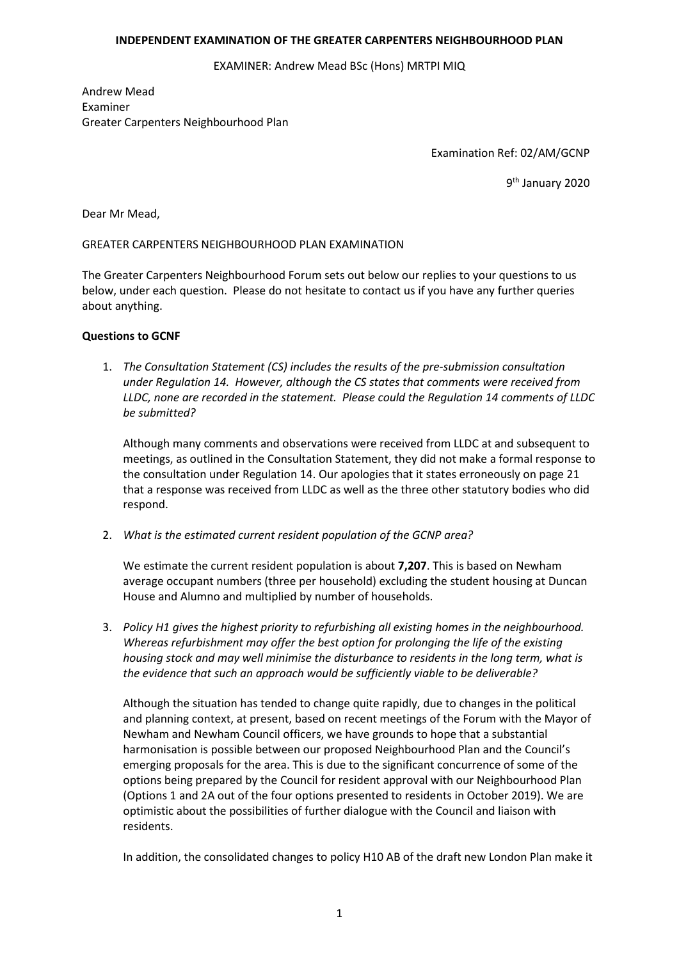## **INDEPENDENT EXAMINATION OF THE GREATER CARPENTERS NEIGHBOURHOOD PLAN**

EXAMINER: Andrew Mead BSc (Hons) MRTPI MIQ

Andrew Mead Examiner Greater Carpenters Neighbourhood Plan

Examination Ref: 02/AM/GCNP

9th January 2020

Dear Mr Mead,

GREATER CARPENTERS NEIGHBOURHOOD PLAN EXAMINATION

The Greater Carpenters Neighbourhood Forum sets out below our replies to your questions to us below, under each question. Please do not hesitate to contact us if you have any further queries about anything.

## **Questions to GCNF**

1. *The Consultation Statement (CS) includes the results of the pre-submission consultation under Regulation 14. However, although the CS states that comments were received from LLDC, none are recorded in the statement. Please could the Regulation 14 comments of LLDC be submitted?*

Although many comments and observations were received from LLDC at and subsequent to meetings, as outlined in the Consultation Statement, they did not make a formal response to the consultation under Regulation 14. Our apologies that it states erroneously on page 21 that a response was received from LLDC as well as the three other statutory bodies who did respond.

2. *What is the estimated current resident population of the GCNP area?*

We estimate the current resident population is about **7,207**. This is based on Newham average occupant numbers (three per household) excluding the student housing at Duncan House and Alumno and multiplied by number of households.

3. *Policy H1 gives the highest priority to refurbishing all existing homes in the neighbourhood. Whereas refurbishment may offer the best option for prolonging the life of the existing housing stock and may well minimise the disturbance to residents in the long term, what is the evidence that such an approach would be sufficiently viable to be deliverable?*

Although the situation has tended to change quite rapidly, due to changes in the political and planning context, at present, based on recent meetings of the Forum with the Mayor of Newham and Newham Council officers, we have grounds to hope that a substantial harmonisation is possible between our proposed Neighbourhood Plan and the Council's emerging proposals for the area. This is due to the significant concurrence of some of the options being prepared by the Council for resident approval with our Neighbourhood Plan (Options 1 and 2A out of the four options presented to residents in October 2019). We are optimistic about the possibilities of further dialogue with the Council and liaison with residents.

In addition, the consolidated changes to policy H10 AB of the draft new London Plan make it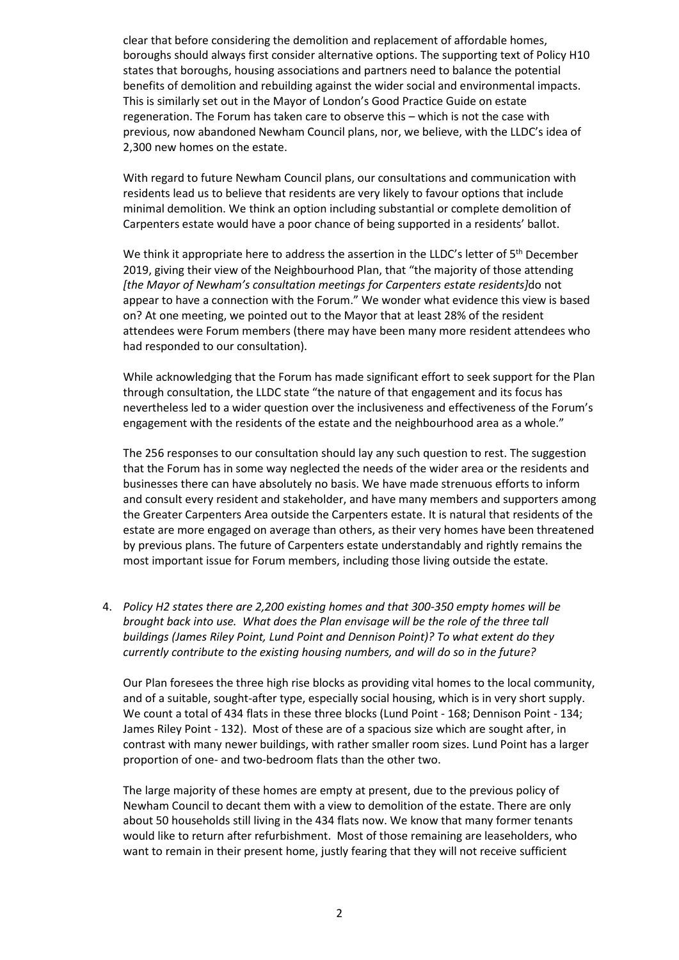clear that before considering the demolition and replacement of affordable homes, boroughs should always first consider alternative options. The supporting text of Policy H10 states that boroughs, housing associations and partners need to balance the potential benefits of demolition and rebuilding against the wider social and environmental impacts. This is similarly set out in the Mayor of London's Good Practice Guide on estate regeneration. The Forum has taken care to observe this – which is not the case with previous, now abandoned Newham Council plans, nor, we believe, with the LLDC's idea of 2,300 new homes on the estate.

With regard to future Newham Council plans, our consultations and communication with residents lead us to believe that residents are very likely to favour options that include minimal demolition. We think an option including substantial or complete demolition of Carpenters estate would have a poor chance of being supported in a residents' ballot.

We think it appropriate here to address the assertion in the LLDC's letter of  $5<sup>th</sup>$  December 2019, giving their view of the Neighbourhood Plan, that "the majority of those attending *[the Mayor of Newham's consultation meetings for Carpenters estate residents]*do not appear to have a connection with the Forum." We wonder what evidence this view is based on? At one meeting, we pointed out to the Mayor that at least 28% of the resident attendees were Forum members (there may have been many more resident attendees who had responded to our consultation).

While acknowledging that the Forum has made significant effort to seek support for the Plan through consultation, the LLDC state "the nature of that engagement and its focus has nevertheless led to a wider question over the inclusiveness and effectiveness of the Forum's engagement with the residents of the estate and the neighbourhood area as a whole."

The 256 responses to our consultation should lay any such question to rest. The suggestion that the Forum has in some way neglected the needs of the wider area or the residents and businesses there can have absolutely no basis. We have made strenuous efforts to inform and consult every resident and stakeholder, and have many members and supporters among the Greater Carpenters Area outside the Carpenters estate. It is natural that residents of the estate are more engaged on average than others, as their very homes have been threatened by previous plans. The future of Carpenters estate understandably and rightly remains the most important issue for Forum members, including those living outside the estate.

4. *Policy H2 states there are 2,200 existing homes and that 300-350 empty homes will be brought back into use. What does the Plan envisage will be the role of the three tall buildings (James Riley Point, Lund Point and Dennison Point)? To what extent do they currently contribute to the existing housing numbers, and will do so in the future?*

Our Plan foresees the three high rise blocks as providing vital homes to the local community, and of a suitable, sought-after type, especially social housing, which is in very short supply. We count a total of 434 flats in these three blocks (Lund Point - 168; Dennison Point - 134; James Riley Point - 132). Most of these are of a spacious size which are sought after, in contrast with many newer buildings, with rather smaller room sizes. Lund Point has a larger proportion of one- and two-bedroom flats than the other two.

The large majority of these homes are empty at present, due to the previous policy of Newham Council to decant them with a view to demolition of the estate. There are only about 50 households still living in the 434 flats now. We know that many former tenants would like to return after refurbishment. Most of those remaining are leaseholders, who want to remain in their present home, justly fearing that they will not receive sufficient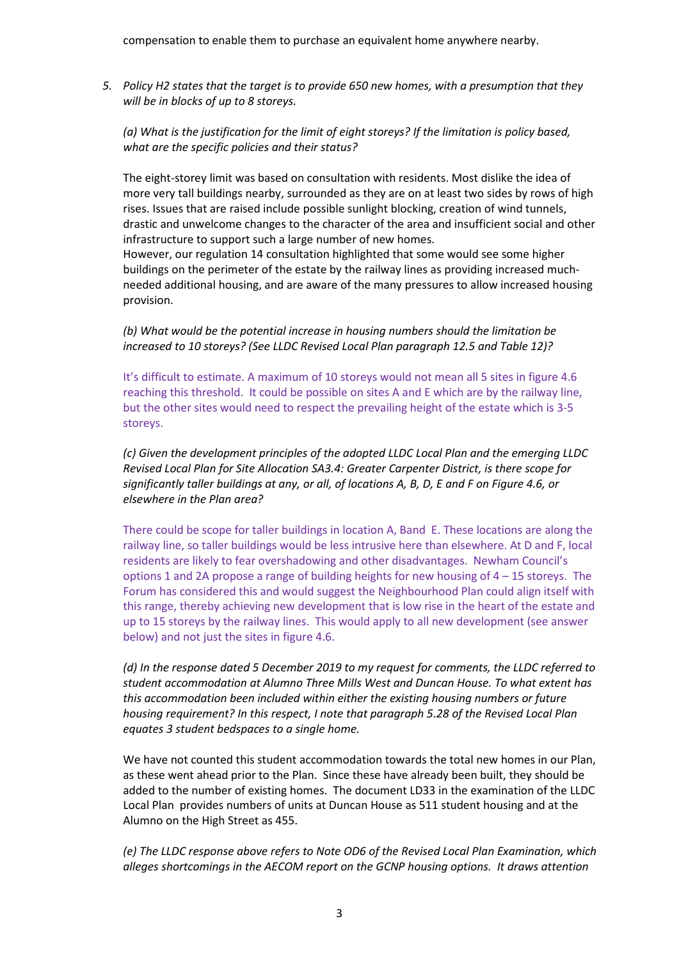compensation to enable them to purchase an equivalent home anywhere nearby.

*5. Policy H2 states that the target is to provide 650 new homes, with a presumption that they will be in blocks of up to 8 storeys.* 

*(a) What is the justification for the limit of eight storeys? If the limitation is policy based, what are the specific policies and their status?*

The eight-storey limit was based on consultation with residents. Most dislike the idea of more very tall buildings nearby, surrounded as they are on at least two sides by rows of high rises. Issues that are raised include possible sunlight blocking, creation of wind tunnels, drastic and unwelcome changes to the character of the area and insufficient social and other infrastructure to support such a large number of new homes.

However, our regulation 14 consultation highlighted that some would see some higher buildings on the perimeter of the estate by the railway lines as providing increased muchneeded additional housing, and are aware of the many pressures to allow increased housing provision.

*(b) What would be the potential increase in housing numbers should the limitation be increased to 10 storeys? (See LLDC Revised Local Plan paragraph 12.5 and Table 12)?*

It's difficult to estimate. A maximum of 10 storeys would not mean all 5 sites in figure 4.6 reaching this threshold. It could be possible on sites A and E which are by the railway line, but the other sites would need to respect the prevailing height of the estate which is 3-5 storeys.

*(c) Given the development principles of the adopted LLDC Local Plan and the emerging LLDC Revised Local Plan for Site Allocation SA3.4: Greater Carpenter District, is there scope for significantly taller buildings at any, or all, of locations A, B, D, E and F on Figure 4.6, or elsewhere in the Plan area?*

There could be scope for taller buildings in location A, Band E. These locations are along the railway line, so taller buildings would be less intrusive here than elsewhere. At D and F, local residents are likely to fear overshadowing and other disadvantages. Newham Council's options 1 and 2A propose a range of building heights for new housing of  $4 - 15$  storeys. The Forum has considered this and would suggest the Neighbourhood Plan could align itself with this range, thereby achieving new development that is low rise in the heart of the estate and up to 15 storeys by the railway lines. This would apply to all new development (see answer below) and not just the sites in figure 4.6.

*(d) In the response dated 5 December 2019 to my request for comments, the LLDC referred to student accommodation at Alumno Three Mills West and Duncan House. To what extent has this accommodation been included within either the existing housing numbers or future housing requirement? In this respect, I note that paragraph 5.28 of the Revised Local Plan equates 3 student bedspaces to a single home.*

We have not counted this student accommodation towards the total new homes in our Plan, as these went ahead prior to the Plan. Since these have already been built, they should be added to the number of existing homes. The document LD33 in the examination of the LLDC Local Plan provides numbers of units at Duncan House as 511 student housing and at the Alumno on the High Street as 455.

*(e) The LLDC response above refers to Note OD6 of the Revised Local Plan Examination, which alleges shortcomings in the AECOM report on the GCNP housing options. It draws attention*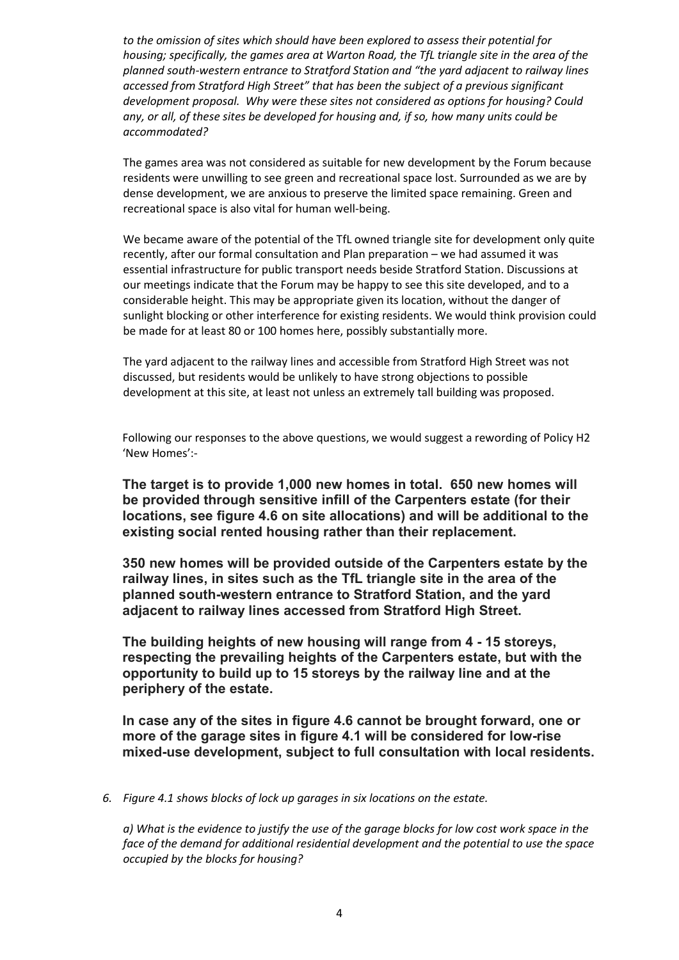*to the omission of sites which should have been explored to assess their potential for housing; specifically, the games area at Warton Road, the TfL triangle site in the area of the planned south-western entrance to Stratford Station and "the yard adjacent to railway lines accessed from Stratford High Street" that has been the subject of a previous significant development proposal. Why were these sites not considered as options for housing? Could any, or all, of these sites be developed for housing and, if so, how many units could be accommodated?*

The games area was not considered as suitable for new development by the Forum because residents were unwilling to see green and recreational space lost. Surrounded as we are by dense development, we are anxious to preserve the limited space remaining. Green and recreational space is also vital for human well-being.

We became aware of the potential of the TfL owned triangle site for development only quite recently, after our formal consultation and Plan preparation – we had assumed it was essential infrastructure for public transport needs beside Stratford Station. Discussions at our meetings indicate that the Forum may be happy to see this site developed, and to a considerable height. This may be appropriate given its location, without the danger of sunlight blocking or other interference for existing residents. We would think provision could be made for at least 80 or 100 homes here, possibly substantially more.

The yard adjacent to the railway lines and accessible from Stratford High Street was not discussed, but residents would be unlikely to have strong objections to possible development at this site, at least not unless an extremely tall building was proposed.

Following our responses to the above questions, we would suggest a rewording of Policy H2 'New Homes':-

**The target is to provide 1,000 new homes in total. 650 new homes will be provided through sensitive infill of the Carpenters estate (for their locations, see figure 4.6 on site allocations) and will be additional to the existing social rented housing rather than their replacement.**

**350 new homes will be provided outside of the Carpenters estate by the railway lines, in sites such as the TfL triangle site in the area of the planned south-western entrance to Stratford Station, and the yard adjacent to railway lines accessed from Stratford High Street.**

**The building heights of new housing will range from 4 - 15 storeys, respecting the prevailing heights of the Carpenters estate, but with the opportunity to build up to 15 storeys by the railway line and at the periphery of the estate.**

**In case any of the sites in figure 4.6 cannot be brought forward, one or more of the garage sites in figure 4.1 will be considered for low-rise mixed-use development, subject to full consultation with local residents.**

*6. Figure 4.1 shows blocks of lock up garages in six locations on the estate.*

*a) What is the evidence to justify the use of the garage blocks for low cost work space in the face of the demand for additional residential development and the potential to use the space occupied by the blocks for housing?*